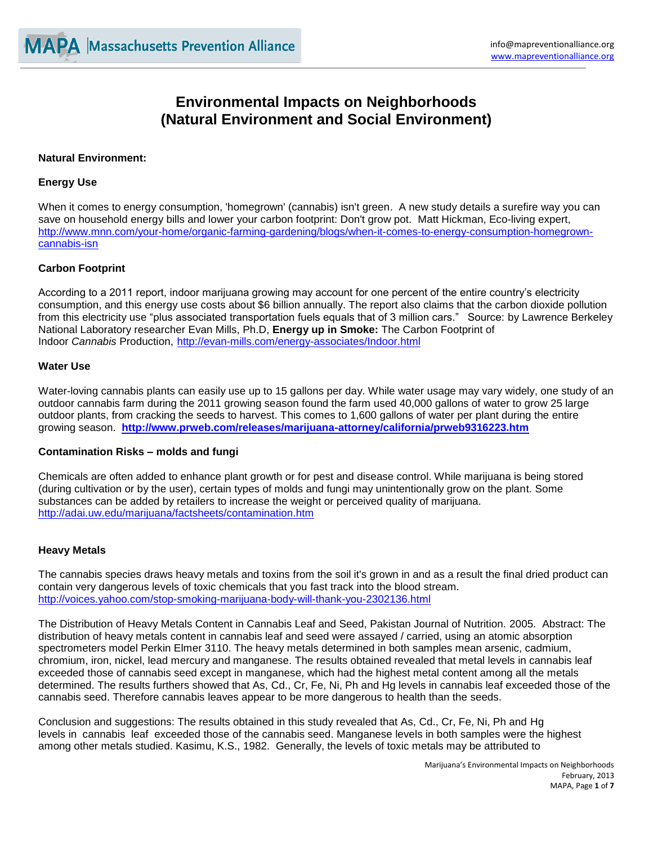# **Environmental Impacts on Neighborhoods (Natural Environment and Social Environment)**

## **Natural Environment:**

## **Energy Use**

When it comes to energy consumption, 'homegrown' (cannabis) isn't green. A new study details a surefire way you can save on household energy bills and lower your carbon footprint: Don't grow pot. Matt Hickman, Eco-living expert, [http://www.mnn.com/your-home/organic-farming-gardening/blogs/when-it-comes-to-energy-consumption-homegrown](http://www.mnn.com/your-home/organic-farming-gardening/blogs/when-it-comes-to-energy-consumption-homegrown-cannabis-isn)[cannabis-isn](http://www.mnn.com/your-home/organic-farming-gardening/blogs/when-it-comes-to-energy-consumption-homegrown-cannabis-isn)

## **Carbon Footprint**

According to a 2011 report, indoor marijuana growing may account for one percent of the entire country's electricity consumption, and this energy use costs about \$6 billion annually. The report also claims that the carbon dioxide pollution from this electricity use "plus associated transportation fuels equals that of 3 million cars." Source: by Lawrence Berkeley National Laboratory researcher Evan Mills, Ph.D, **Energy up in Smoke:** The Carbon Footprint of Indoor *Cannabis* Production, <http://evan-mills.com/energy-associates/Indoor.html>

#### **Water Use**

Water-loving cannabis plants can easily use up to 15 gallons per day. While water usage may vary widely, one study of an outdoor cannabis farm during the 2011 growing season found the farm used 40,000 gallons of water to grow 25 large outdoor plants, from cracking the seeds to harvest. This comes to 1,600 gallons of water per plant during the entire growing season. **<http://www.prweb.com/releases/marijuana-attorney/california/prweb9316223.htm>**

## **Contamination Risks – molds and fungi**

Chemicals are often added to enhance plant growth or for pest and disease control. While marijuana is being stored (during cultivation or by the user), certain types of molds and fungi may unintentionally grow on the plant. Some substances can be added by retailers to increase the weight or perceived quality of marijuana. <http://adai.uw.edu/marijuana/factsheets/contamination.htm>

## **Heavy Metals**

The cannabis species draws heavy metals and toxins from the soil it's grown in and as a result the final dried product can contain very dangerous levels of toxic chemicals that you fast track into the blood stream. <http://voices.yahoo.com/stop-smoking-marijuana-body-will-thank-you-2302136.html>

The Distribution of Heavy Metals Content in Cannabis Leaf and Seed, Pakistan Journal of Nutrition. 2005. Abstract: The distribution of heavy metals content in cannabis leaf and seed were assayed / carried, using an atomic absorption spectrometers model Perkin Elmer 3110. The heavy metals determined in both samples mean arsenic, cadmium, chromium, iron, nickel, lead mercury and manganese. The results obtained revealed that metal levels in cannabis leaf exceeded those of cannabis seed except in manganese, which had the highest metal content among all the metals determined. The results furthers showed that As, Cd., Cr, Fe, Ni, Ph and Hg levels in cannabis leaf exceeded those of the cannabis seed. Therefore cannabis leaves appear to be more dangerous to health than the seeds.

Conclusion and suggestions: The results obtained in this study revealed that As, Cd., Cr, Fe, Ni, Ph and Hg levels in cannabis leaf exceeded those of the cannabis seed. Manganese levels in both samples were the highest among other metals studied. Kasimu, K.S., 1982. Generally, the levels of toxic metals may be attributed to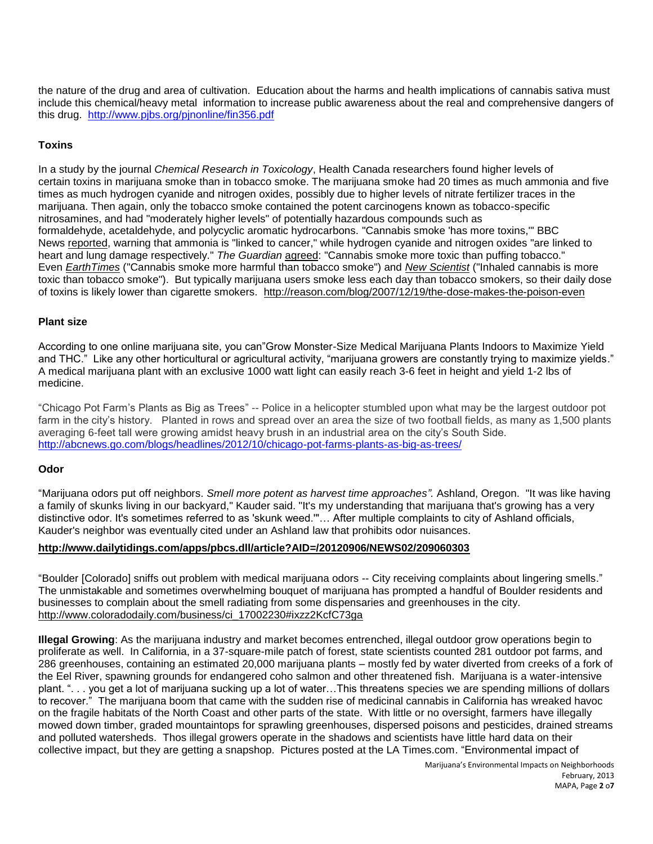the nature of the drug and area of cultivation. Education about the harms and health implications of cannabis sativa must include this chemical/heavy metal information to increase public awareness about the real and comprehensive dangers of this drug. <http://www.pjbs.org/pjnonline/fin356.pdf>

## **Toxins**

In a study by the journal *Chemical Research in Toxicology*, Health Canada researchers found higher levels of certain toxins in marijuana smoke than in tobacco smoke. The marijuana smoke had 20 times as much ammonia and five times as much hydrogen cyanide and nitrogen oxides, possibly due to higher levels of nitrate fertilizer traces in the marijuana. Then again, only the tobacco smoke contained the potent carcinogens known as tobacco-specific nitrosamines, and had "moderately higher levels" of potentially hazardous compounds such as formaldehyde, acetaldehyde, and polycyclic aromatic hydrocarbons. "Cannabis smoke 'has more toxins,'" BBC News [reported,](http://news.bbc.co.uk/2/hi/health/7150274.stm) warning that ammonia is "linked to cancer," while hydrogen cyanide and nitrogen oxides "are linked to heart and lung damage respectively." *The Guardian* [agreed:](http://www.guardian.co.uk/Guardian/society/2007/dec/19/drugsandalcohol.drugs) "Cannabis smoke more toxic than puffing tobacco." Even *[EarthTimes](http://www.earthtimes.org/articles/show/161382.html)* ("Cannabis smoke more harmful than tobacco smoke") and *New [Scientist](http://www.newscientist.com/article/mg19626354.200-inhaled-cannabis-is-more-toxic-than-tobacco-smoke.html)* ("Inhaled cannabis is more toxic than tobacco smoke"). But typically marijuana users smoke less each day than tobacco smokers, so their daily dose of toxins is likely lower than cigarette smokers. <http://reason.com/blog/2007/12/19/the-dose-makes-the-poison-even>

## **Plant size**

According to one online marijuana site, you can"Grow Monster-Size Medical Marijuana Plants Indoors to Maximize Yield and THC." Like any other horticultural or agricultural activity, "marijuana growers are constantly trying to maximize yields." A medical marijuana plant with an exclusive 1000 watt light can easily reach 3-6 feet in height and yield 1-2 lbs of medicine.

"Chicago Pot Farm's Plants as Big as Trees" -- Police in a helicopter stumbled upon what may be the largest outdoor pot farm in the city's history. Planted in rows and spread over an area the size of two football fields, as many as 1,500 plants averaging 6-feet tall were growing amidst heavy brush in an industrial area on the city's South Side. <http://abcnews.go.com/blogs/headlines/2012/10/chicago-pot-farms-plants-as-big-as-trees/>

## **Odor**

"Marijuana odors put off neighbors. *Smell more potent as harvest time approaches".* Ashland, Oregon. "It was like having a family of skunks living in our backyard," Kauder said. "It's my understanding that marijuana that's growing has a very distinctive odor. It's sometimes referred to as 'skunk weed.'"… After multiple complaints to city of Ashland officials, Kauder's neighbor was eventually cited under an Ashland law that prohibits odor nuisances.

## **<http://www.dailytidings.com/apps/pbcs.dll/article?AID=/20120906/NEWS02/209060303>**

"Boulder [Colorado] sniffs out problem with medical marijuana odors -- City receiving complaints about lingering smells." The unmistakable and sometimes overwhelming bouquet of marijuana has prompted a handful of Boulder residents and businesses to complain about the smell radiating from some dispensaries and greenhouses in the city. [http://www.coloradodaily.com/business/ci\\_17002230#ixzz2KcfC73ga](http://www.coloradodaily.com/business/ci_17002230#ixzz2KcfC73ga)

**Illegal Growing**: As the marijuana industry and market becomes entrenched, illegal outdoor grow operations begin to proliferate as well. In California, in a 37-square-mile patch of forest, state scientists counted 281 outdoor pot farms, and 286 greenhouses, containing an estimated 20,000 marijuana plants – mostly fed by water diverted from creeks of a fork of the Eel River, spawning grounds for endangered coho salmon and other threatened fish. Marijuana is a water-intensive plant. ". . . you get a lot of marijuana sucking up a lot of water…This threatens species we are spending millions of dollars to recover." The marijuana boom that came with the sudden rise of medicinal cannabis in California has wreaked havoc on the fragile habitats of the North Coast and other parts of the state. With little or no oversight, farmers have illegally mowed down timber, graded mountaintops for sprawling greenhouses, dispersed poisons and pesticides, drained streams and polluted watersheds. Thos illegal growers operate in the shadows and scientists have little hard data on their collective impact, but they are getting a snapshop. Pictures posted at the LA Times.com. "Environmental impact of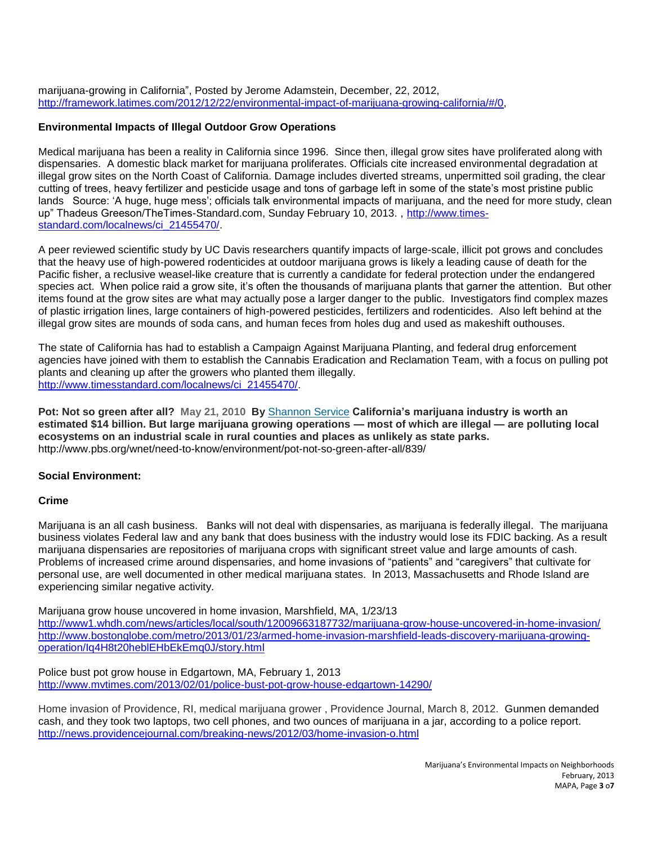marijuana-growing in California", Posted by Jerome Adamstein, December, 22, 2012, [http://framework.latimes.com/2012/12/22/environmental-impact-of-marijuana-growing-california/#/0,](http://framework.latimes.com/2012/12/22/environmental-impact-of-marijuana-growing-california/#/0)

## **Environmental Impacts of Illegal Outdoor Grow Operations**

Medical marijuana has been a reality in California since 1996. Since then, illegal grow sites have proliferated along with dispensaries. A domestic black market for marijuana proliferates. Officials cite increased environmental degradation at illegal grow sites on the North Coast of California. Damage includes diverted streams, unpermitted soil grading, the clear cutting of trees, heavy fertilizer and pesticide usage and tons of garbage left in some of the state's most pristine public lands Source: 'A huge, huge mess'; officials talk environmental impacts of marijuana, and the need for more study, clean up" Thadeus Greeson/TheTimes-Standard.com, Sunday February 10, 2013. , [http://www.times](http://www.times-standard.com/localnews/ci_21455470/)[standard.com/localnews/ci\\_21455470/.](http://www.times-standard.com/localnews/ci_21455470/)

A peer reviewed scientific study by UC Davis researchers quantify impacts of large-scale, illicit pot grows and concludes that the heavy use of high-powered rodenticides at outdoor marijuana grows is likely a leading cause of death for the Pacific fisher, a reclusive weasel-like creature that is currently a candidate for federal protection under the endangered species act. When police raid a grow site, it's often the thousands of marijuana plants that garner the attention. But other items found at the grow sites are what may actually pose a larger danger to the public. Investigators find complex mazes of plastic irrigation lines, large containers of high-powered pesticides, fertilizers and rodenticides. Also left behind at the illegal grow sites are mounds of soda cans, and human feces from holes dug and used as makeshift outhouses.

The state of California has had to establish a Campaign Against Marijuana Planting, and federal drug enforcement agencies have joined with them to establish the Cannabis Eradication and Reclamation Team, with a focus on pulling pot plants and cleaning up after the growers who planted them illegally. [http://www.timesstandard.com/localnews/ci\\_21455470/.](http://www.times-standard.com/localnews/ci_21455470/)

**Pot: Not so green after all? May 21, 2010 By** [Shannon](http://oaklandnorth.net/author/shannon-service/) Service **California's marijuana industry is worth an estimated \$14 billion. But large marijuana growing operations — most of which are illegal — are polluting local ecosystems on an industrial scale in rural counties and places as unlikely as state parks.**  http://www.pbs.org/wnet/need-to-know/environment/pot-not-so-green-after-all/839/

# **Social Environment:**

## **Crime**

Marijuana is an all cash business. Banks will not deal with dispensaries, as marijuana is federally illegal. The marijuana business violates Federal law and any bank that does business with the industry would lose its FDIC backing. As a result marijuana dispensaries are repositories of marijuana crops with significant street value and large amounts of cash. Problems of increased crime around dispensaries, and home invasions of "patients" and "caregivers" that cultivate for personal use, are well documented in other medical marijuana states. In 2013, Massachusetts and Rhode Island are experiencing similar negative activity.

Marijuana grow house uncovered in home invasion, Marshfield, MA, 1/23/13 <http://www1.whdh.com/news/articles/local/south/12009663187732/marijuana-grow-house-uncovered-in-home-invasion/> [http://www.bostonglobe.com/metro/2013/01/23/armed-home-invasion-marshfield-leads-discovery-marijuana-growing](http://www.bostonglobe.com/metro/2013/01/23/armed-home-invasion-marshfield-leads-discovery-marijuana-growing-operation/Iq4H8t20heblEHbEkEmq0J/story.html)[operation/Iq4H8t20heblEHbEkEmq0J/story.html](http://www.bostonglobe.com/metro/2013/01/23/armed-home-invasion-marshfield-leads-discovery-marijuana-growing-operation/Iq4H8t20heblEHbEkEmq0J/story.html)

Police bust pot grow house in Edgartown, MA, February 1, 2013 <http://www.mvtimes.com/2013/02/01/police-bust-pot-grow-house-edgartown-14290/>

Home invasion of Providence, RI, medical marijuana grower , Providence Journal, March 8, 2012. Gunmen demanded cash, and they took two laptops, two cell phones, and two ounces of marijuana in a jar, according to a police report. <http://news.providencejournal.com/breaking-news/2012/03/home-invasion-o.html>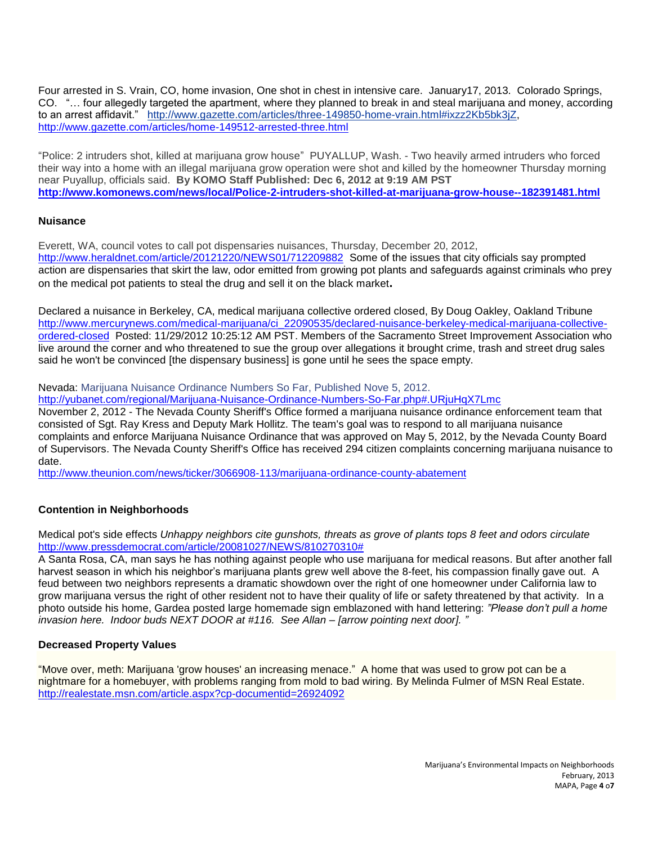Four arrested in S. Vrain, CO, home invasion, One shot in chest in intensive care. January17, 2013. Colorado Springs, CO. "… four allegedly targeted the apartment, where they planned to break in and steal marijuana and money, according to an arrest affidavit." [http://www.gazette.com/articles/three-149850-home-vrain.html#ixzz2Kb5bk3jZ,](http://www.gazette.com/articles/three-149850-home-vrain.html#ixzz2Kb5bk3jZ) <http://www.gazette.com/articles/home-149512-arrested-three.html>

"Police: 2 intruders shot, killed at marijuana grow house" PUYALLUP, Wash. - Two heavily armed intruders who forced their way into a home with an illegal marijuana grow operation were shot and killed by the homeowner Thursday morning near Puyallup, officials said. **By KOMO Staff Published: Dec 6, 2012 at 9:19 AM PST <http://www.komonews.com/news/local/Police-2-intruders-shot-killed-at-marijuana-grow-house--182391481.html>**

## **Nuisance**

Everett, WA, council votes to call pot dispensaries nuisances, Thursday, December 20, 2012, <http://www.heraldnet.com/article/20121220/NEWS01/712209882>Some of the issues that city officials say prompted action are dispensaries that skirt the law, odor emitted from growing pot plants and safeguards against criminals who prey on the medical pot patients to steal the drug and sell it on the black market**.**

Declared a nuisance in Berkeley, CA, medical marijuana collective ordered closed, By Doug Oakley, Oakland Tribune [http://www.mercurynews.com/medical-marijuana/ci\\_22090535/declared-nuisance-berkeley-medical-marijuana-collective](http://www.mercurynews.com/medical-marijuana/ci_22090535/declared-nuisance-berkeley-medical-marijuana-collective-ordered-closed)[ordered-closed](http://www.mercurynews.com/medical-marijuana/ci_22090535/declared-nuisance-berkeley-medical-marijuana-collective-ordered-closed) Posted: 11/29/2012 10:25:12 AM PST. Members of the Sacramento Street Improvement Association who live around the corner and who threatened to sue the group over allegations it brought crime, trash and street drug sales said he won't be convinced [the dispensary business] is gone until he sees the space empty.

Nevada: Marijuana Nuisance Ordinance Numbers So Far, Published Nove 5, 2012.

<http://yubanet.com/regional/Marijuana-Nuisance-Ordinance-Numbers-So-Far.php#.URjuHqX7Lmc>

November 2, 2012 - The Nevada County Sheriff's Office formed a marijuana nuisance ordinance enforcement team that consisted of Sgt. Ray Kress and Deputy Mark Hollitz. The team's goal was to respond to all marijuana nuisance complaints and enforce Marijuana Nuisance Ordinance that was approved on May 5, 2012, by the Nevada County Board of Supervisors. The Nevada County Sheriff's Office has received 294 citizen complaints concerning marijuana nuisance to date.

<http://www.theunion.com/news/ticker/3066908-113/marijuana-ordinance-county-abatement>

# **Contention in Neighborhoods**

Medical pot's side effects *Unhappy neighbors cite gunshots, threats as grove of plants tops 8 feet and odors circulate* [http://www.pressdemocrat.com/article/20081027/NEWS/810270310#](http://www.pressdemocrat.com/article/20081027/NEWS/810270310)

A Santa Rosa, CA, man says he has nothing against people who use marijuana for medical reasons. But after another fall harvest season in which his neighbor's marijuana plants grew well above the 8-feet, his compassion finally gave out. A feud between two neighbors represents a dramatic showdown over the right of one homeowner under California law to grow marijuana versus the right of other resident not to have their quality of life or safety threatened by that activity. In a photo outside his home, Gardea posted large homemade sign emblazoned with hand lettering: *"Please don't pull a home invasion here. Indoor buds NEXT DOOR at #116. See Allan – [arrow pointing next door]. "*

# **Decreased Property Values**

"Move over, meth: Marijuana 'grow houses' an increasing menace." A home that was used to grow pot can be a nightmare for a homebuyer, with problems ranging from mold to bad wiring. By Melinda Fulmer of MSN Real Estate. <http://realestate.msn.com/article.aspx?cp-documentid=26924092>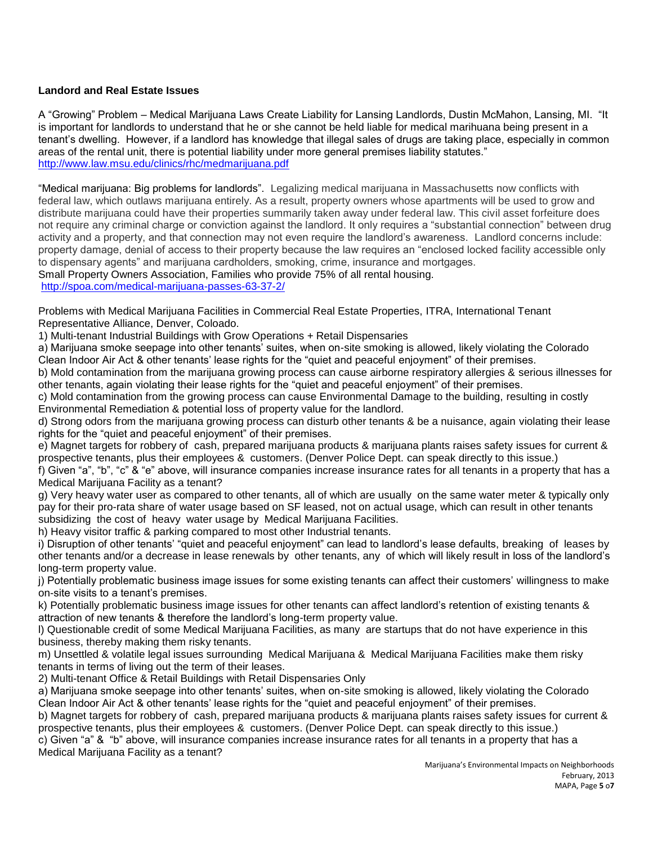# **Landord and Real Estate Issues**

A "Growing" Problem – Medical Marijuana Laws Create Liability for Lansing Landlords, Dustin McMahon, Lansing, MI. "It is important for landlords to understand that he or she cannot be held liable for medical marihuana being present in a tenant's dwelling. However, if a landlord has knowledge that illegal sales of drugs are taking place, especially in common areas of the rental unit, there is potential liability under more general premises liability statutes." <http://www.law.msu.edu/clinics/rhc/medmarijuana.pdf>

"Medical marijuana: Big problems for landlords". Legalizing medical marijuana in Massachusetts now conflicts with federal law, which outlaws marijuana entirely. As a result, property owners whose apartments will be used to grow and distribute marijuana could have their properties summarily taken away under federal law. This civil asset forfeiture does not require any criminal charge or conviction against the landlord. It only requires a "substantial connection" between drug activity and a property, and that connection may not even require the landlord's awareness. Landlord concerns include: property damage, denial of access to their property because the law requires an "enclosed locked facility accessible only to dispensary agents" and marijuana cardholders, smoking, crime, insurance and mortgages. Small Property Owners Association, Families who provide 75% of all rental housing.

<http://spoa.com/medical-marijuana-passes-63-37-2/>

Problems with Medical Marijuana Facilities in Commercial Real Estate Properties, ITRA, International Tenant Representative Alliance, Denver, Coloado.

1) Multi-tenant Industrial Buildings with Grow Operations + Retail Dispensaries

a) Marijuana smoke seepage into other tenants' suites, when on-site smoking is allowed, likely violating the Colorado Clean Indoor Air Act & other tenants' lease rights for the "quiet and peaceful enjoyment" of their premises.

b) Mold contamination from the marijuana growing process can cause airborne respiratory allergies & serious illnesses for other tenants, again violating their lease rights for the "quiet and peaceful enjoyment" of their premises.

c) Mold contamination from the growing process can cause Environmental Damage to the building, resulting in costly Environmental Remediation & potential loss of property value for the landlord.

d) Strong odors from the marijuana growing process can disturb other tenants & be a nuisance, again violating their lease rights for the "quiet and peaceful enjoyment" of their premises.

e) Magnet targets for robbery of cash, prepared marijuana products & marijuana plants raises safety issues for current & prospective tenants, plus their employees & customers. (Denver Police Dept. can speak directly to this issue.)

f) Given "a", "b", "c" & "e" above, will insurance companies increase insurance rates for all tenants in a property that has a Medical Marijuana Facility as a tenant?

g) Very heavy water user as compared to other tenants, all of which are usually on the same water meter & typically only pay for their pro-rata share of water usage based on SF leased, not on actual usage, which can result in other tenants subsidizing the cost of heavy water usage by Medical Marijuana Facilities.

h) Heavy visitor traffic & parking compared to most other Industrial tenants.

i) Disruption of other tenants' "quiet and peaceful enjoyment" can lead to landlord's lease defaults, breaking of leases by other tenants and/or a decrease in lease renewals by other tenants, any of which will likely result in loss of the landlord's long-term property value.

j) Potentially problematic business image issues for some existing tenants can affect their customers' willingness to make on-site visits to a tenant's premises.

k) Potentially problematic business image issues for other tenants can affect landlord's retention of existing tenants & attraction of new tenants & therefore the landlord's long-term property value.

l) Questionable credit of some Medical Marijuana Facilities, as many are startups that do not have experience in this business, thereby making them risky tenants.

m) Unsettled & volatile legal issues surrounding Medical Marijuana & Medical Marijuana Facilities make them risky tenants in terms of living out the term of their leases.

2) Multi-tenant Office & Retail Buildings with Retail Dispensaries Only

a) Marijuana smoke seepage into other tenants' suites, when on-site smoking is allowed, likely violating the Colorado Clean Indoor Air Act & other tenants' lease rights for the "quiet and peaceful enjoyment" of their premises.

b) Magnet targets for robbery of cash, prepared marijuana products & marijuana plants raises safety issues for current & prospective tenants, plus their employees & customers. (Denver Police Dept. can speak directly to this issue.)

c) Given "a" & "b" above, will insurance companies increase insurance rates for all tenants in a property that has a Medical Marijuana Facility as a tenant?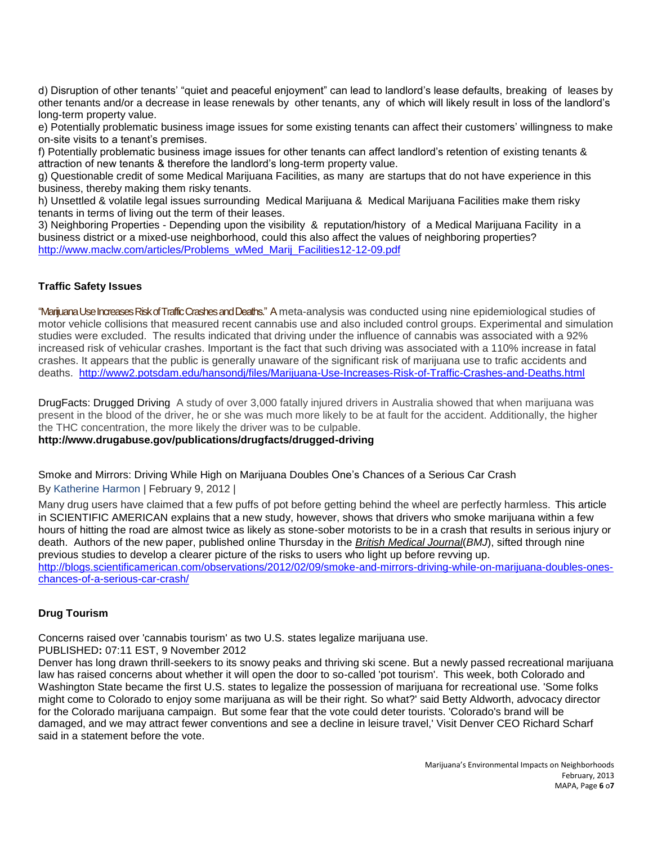d) Disruption of other tenants' "quiet and peaceful enjoyment" can lead to landlord's lease defaults, breaking of leases by other tenants and/or a decrease in lease renewals by other tenants, any of which will likely result in loss of the landlord's long-term property value.

e) Potentially problematic business image issues for some existing tenants can affect their customers' willingness to make on-site visits to a tenant's premises.

f) Potentially problematic business image issues for other tenants can affect landlord's retention of existing tenants & attraction of new tenants & therefore the landlord's long-term property value.

g) Questionable credit of some Medical Marijuana Facilities, as many are startups that do not have experience in this business, thereby making them risky tenants.

h) Unsettled & volatile legal issues surrounding Medical Marijuana & Medical Marijuana Facilities make them risky tenants in terms of living out the term of their leases.

3) Neighboring Properties - Depending upon the visibility & reputation/history of a Medical Marijuana Facility in a business district or a mixed-use neighborhood, could this also affect the values of neighboring properties? [http://www.maclw.com/articles/Problems\\_wMed\\_Marij\\_Facilities12-12-09.pdf](http://www.maclw.com/articles/Problems_wMed_Marij_Facilities12-12-09.pdf)

# **Traffic Safety Issues**

"Marijuana Use Increases Risk of Traffic Crashes and Deaths." A meta-analysis was conducted using nine epidemiological studies of motor vehicle collisions that measured recent cannabis use and also included control groups. Experimental and simulation studies were excluded. The results indicated that driving under the influence of cannabis was associated with a 92% increased risk of vehicular crashes. Important is the fact that such driving was associated with a 110% increase in fatal crashes. It appears that the public is generally unaware of the significant risk of marijuana use to trafic accidents and deaths. <http://www2.potsdam.edu/hansondj/files/Marijuana-Use-Increases-Risk-of-Traffic-Crashes-and-Deaths.html>

DrugFacts: Drugged Driving A study of over 3,000 fatally injured drivers in Australia showed that when marijuana was present in the blood of the driver, he or she was much more likely to be at fault for the accident. Additionally, the higher the THC concentration, the more likely the driver was to be culpable.

**http://www.drugabuse.gov/publications/drugfacts/drugged-driving**

Smoke and Mirrors: Driving While High on [Marijuana](http://blogs.scientificamerican.com/observations/2012/02/09/smoke-and-mirrors-driving-while-on-marijuana-doubles-ones-chances-of-a-serious-car-crash/) Doubles One's Chances of a Serious Car Crash By [Katherine](javascript:void(0)) Harmon | February 9, 2012 |

Many drug users have claimed that a few puffs of pot before getting behind the wheel are perfectly harmless. This article in SCIENTIFIC AMERICAN explains that a new study, however, shows that drivers who smoke marijuana within a few hours of hitting the road are almost twice as likely as stone-sober motorists to be in a crash that results in serious injury or death. Authors of the new paper, published online Thursday in the *British [Medical](http://www.bmj.com/) Journal*(*BMJ*), sifted through nine previous studies to develop a clearer picture of the risks to users who light up before revving up. [http://blogs.scientificamerican.com/observations/2012/02/09/smoke-and-mirrors-driving-while-on-marijuana-doubles-ones](http://blogs.scientificamerican.com/observations/2012/02/09/smoke-and-mirrors-driving-while-on-marijuana-doubles-ones-chances-of-a-serious-car-crash/)[chances-of-a-serious-car-crash/](http://blogs.scientificamerican.com/observations/2012/02/09/smoke-and-mirrors-driving-while-on-marijuana-doubles-ones-chances-of-a-serious-car-crash/)

# **Drug Tourism**

Concerns raised over 'cannabis tourism' as two U.S. states legalize marijuana use.

## PUBLISHED**:** 07:11 EST, 9 November 2012

Denver has long drawn thrill-seekers to its snowy peaks and thriving ski scene. But a newly passed recreational marijuana law has raised concerns about whether it will open the door to so-called 'pot tourism'. This week, both Colorado and Washington State became the first U.S. states to legalize the possession of marijuana for recreational use. 'Some folks might come to Colorado to enjoy some marijuana as will be their right. So what?' said Betty Aldworth, advocacy director for the Colorado marijuana campaign. But some fear that the vote could deter tourists. 'Colorado's brand will be damaged, and we may attract fewer conventions and see a decline in leisure travel,' Visit Denver CEO Richard Scharf said in a statement before the vote.